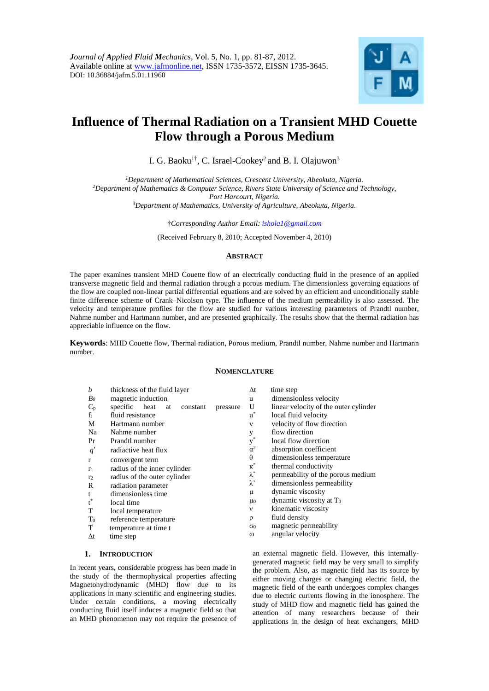

# **Influence of Thermal Radiation on a Transient MHD Couette Flow through a Porous Medium**

I. G. Baoku<sup>1†</sup>, C. Israel-Cookey<sup>2</sup> and B. I. Olajuwon<sup>3</sup>

*Department of Mathematical Sciences, Crescent University, Abeokuta, Nigeria. Department of Mathematics & Computer Science, Rivers State University of Science and Technology, Port Harcourt, Nigeria. Department of Mathematics, University of Agriculture, Abeokuta, Nigeria.*

†*Corresponding Author Email: ishola1@gmail.com*

(Received February 8, 2010; Accepted November 4, 2010)

# **ABSTRACT**

The paper examines transient MHD Couette flow of an electrically conducting fluid in the presence of an applied transverse magnetic field and thermal radiation through a porous medium. The dimensionless governing equations of the flow are coupled non-linear partial differential equations and are solved by an efficient and unconditionally stable finite difference scheme of Crank–Nicolson type. The influence of the medium permeability is also assessed. The velocity and temperature profiles for the flow are studied for various interesting parameters of Prandtl number, Nahme number and Hartmann number, and are presented graphically. The results show that the thermal radiation has appreciable influence on the flow.

**Keywords**: MHD Couette flow, Thermal radiation, Porous medium, Prandtl number, Nahme number and Hartmann number.

## **NOMENCLATURE**

| b              | thickness of the fluid layer                | Δt                    | time step                             |
|----------------|---------------------------------------------|-----------------------|---------------------------------------|
| Bo             | magnetic induction                          | u                     | dimensionless velocity                |
| $C_p$          | specific heat<br>at<br>constant<br>pressure | U                     | linear velocity of the outer cylinder |
| $f_r$          | fluid resistance                            | $u^*$                 | local fluid velocity                  |
| M              | Hartmann number                             | V                     | velocity of flow direction            |
| Na             | Nahme number                                | y                     | flow direction                        |
| Pr             | Prandtl number                              | $y^*$                 | local flow direction                  |
| q'             | radiactive heat flux                        | $\alpha^2$            | absorption coefficient                |
| $\mathbf{r}$   | convergent term                             | $\theta$              | dimensionless temperature             |
| r <sub>1</sub> | radius of the inner cylinder                | $\kappa^*$            | thermal conductivity                  |
| r <sub>2</sub> | radius of the outer cylinder                | $\lambda^*$           | permeability of the porous medium     |
| R              | radiation parameter                         | $\lambda$ '           | dimensionless permeability            |
| t              | dimensionless time                          | μ                     | dynamic viscosity                     |
| $t^*$          | local time                                  | $\mu$ <sub>0</sub>    | dynamic viscosity at T <sub>0</sub>   |
|                |                                             | $\mathbf v$           | kinematic viscosity                   |
| Т              | local temperature                           |                       | fluid density                         |
| $T_0$          | reference temperature                       | ρ                     |                                       |
| T              | temperature at time t                       | $\sigma$ <sup>0</sup> | magnetic permeability                 |
| $\Delta t$     | time step                                   | $\omega$              | angular velocity                      |

#### **1. INTRODUCTION**

In recent years, considerable progress has been made in the study of the thermophysical properties affecting Magnetohydrodynamic (MHD) flow due to its applications in many scientific and engineering studies. Under certain conditions, a moving electrically conducting fluid itself induces a magnetic field so that an MHD phenomenon may not require the presence of

an external magnetic field. However, this internallygenerated magnetic field may be very small to simplify the problem. Also, as magnetic field has its source by either moving charges or changing electric field, the magnetic field of the earth undergoes complex changes due to electric currents flowing in the ionosphere. The study of MHD flow and magnetic field has gained the attention of many researchers because of their applications in the design of heat exchangers, MHD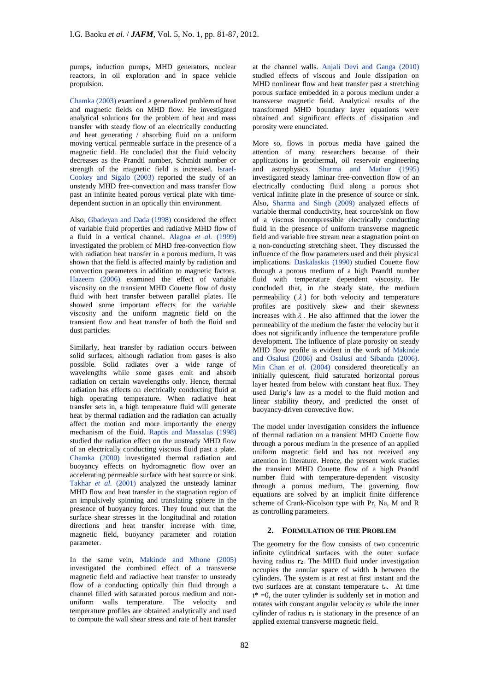pumps, induction pumps, MHD generators, nuclear reactors, in oil exploration and in space vehicle propulsion.

Chamka (2003) examined a generalized problem of heat and magnetic fields on MHD flow. He investigated analytical solutions for the problem of heat and mass transfer with steady flow of an electrically conducting and heat generating / absorbing fluid on a uniform moving vertical permeable surface in the presence of a magnetic field. He concluded that the fluid velocity decreases as the Prandtl number, Schmidt number or strength of the magnetic field is increased. Israel-Cookey and Sigalo (2003) reported the study of an unsteady MHD free-convection and mass transfer flow past an infinite heated porous vertical plate with timedependent suction in an optically thin environment.

Also, Gbadeyan and Dada (1998) considered the effect of variable fluid properties and radiative MHD flow of a fluid in a vertical channel. Alagoa *et al.* (1999) investigated the problem of MHD free-convection flow with radiation heat transfer in a porous medium. It was shown that the field is affected mainly by radiation and convection parameters in addition to magnetic factors. Hazeem  $(2006)$  examined the effect of variable viscosity on the transient MHD Couette flow of dusty fluid with heat transfer between parallel plates. He showed some important effects for the variable viscosity and the uniform magnetic field on the transient flow and heat transfer of both the fluid and dust particles.

Similarly, heat transfer by radiation occurs between solid surfaces, although radiation from gases is also possible. Solid radiates over a wide range of wavelengths while some gases emit and absorb radiation on certain wavelengths only. Hence, thermal radiation has effects on electrically conducting fluid at high operating temperature. When radiative heat transfer sets in, a high temperature fluid will generate heat by thermal radiation and the radiation can actually affect the motion and more importantly the energy mechanism of the fluid. Raptis and Massalas (1998) studied the radiation effect on the unsteady MHD flow of an electrically conducting viscous fluid past a plate. Chamka (2000) investigated thermal radiation and buoyancy effects on hydromagnetic flow over an accelerating permeable surface with heat source or sink. Takhar *et al.* (2001) analyzed the unsteady laminar MHD flow and heat transfer in the stagnation region of an impulsively spinning and translating sphere in the presence of buoyancy forces. They found out that the surface shear stresses in the longitudinal and rotation directions and heat transfer increase with time, magnetic field, buoyancy parameter and rotation parameter.

In the same vein, Makinde and Mhone (2005) investigated the combined effect of a transverse magnetic field and radiactive heat transfer to unsteady flow of a conducting optically thin fluid through a channel filled with saturated porous medium and nonuniform walls temperature. The velocity and temperature profiles are obtained analytically and used to compute the wall shear stress and rate of heat transfer

at the channel walls. Anjali Devi and Ganga (2010) studied effects of viscous and Joule dissipation on MHD nonlinear flow and heat transfer past a stretching porous surface embedded in a porous medium under a transverse magnetic field. Analytical results of the transformed MHD boundary layer equations were obtained and significant effects of dissipation and porosity were enunciated.

More so, flows in porous media have gained the attention of many researchers because of their applications in geothermal, oil reservoir engineering and astrophysics. Sharma and Mathur (1995) investigated steady laminar free-convection flow of an electrically conducting fluid along a porous shot vertical infinite plate in the presence of source or sink. Also, Sharma and Singh (2009) analyzed effects of variable thermal conductivity, heat source/sink on flow of a viscous incompressible electrically conducting fluid in the presence of uniform transverse magnetic field and variable free stream near a stagnation point on a non-conducting stretching sheet. They discussed the influence of the flow parameters used and their physical implications. Daskalaskis (1990) studied Couette flow through a porous medium of a high Prandtl number fluid with temperature dependent viscosity. He concluded that, in the steady state, the medium permeability  $(\lambda)$  for both velocity and temperature profiles are positively skew and their skewness increases with  $\lambda$ . He also affirmed that the lower the permeability of the medium the faster the velocity but it does not significantly influence the temperature profile development. The influence of plate porosity on steady MHD flow profile is evident in the work of Makinde and Osalusi (2006) and Osalusi and Sibanda (2006). Min Chan *et al.* (2004) considered theoretically an initially quiescent, fluid saturated horizontal porous layer heated from below with constant heat flux. They used Darig's law as a model to the fluid motion and linear stability theory, and predicted the onset of buoyancy-driven convective flow.

The model under investigation considers the influence of thermal radiation on a transient MHD Couette flow through a porous medium in the presence of an applied uniform magnetic field and has not received any attention in literature. Hence, the present work studies the transient MHD Couette flow of a high Prandtl number fluid with temperature-dependent viscosity through a porous medium. The governing flow equations are solved by an implicit finite difference scheme of Crank-Nicolson type with Pr, Na, M and R as controlling parameters.

### **2. FORMULATION OF THE PROBLEM**

The geometry for the flow consists of two concentric infinite cylindrical surfaces with the outer surface having radius **r2**. The MHD fluid under investigation occupies the annular space of width **b** between the cylinders. The system is at rest at first instant and the two surfaces are at constant temperature to. At time  $t^* = 0$ , the outer cylinder is suddenly set in motion and rotates with constant angular velocity  $\omega$  while the inner cylinder of radius **r<sup>1</sup>** is stationary in the presence of an applied external transverse magnetic field.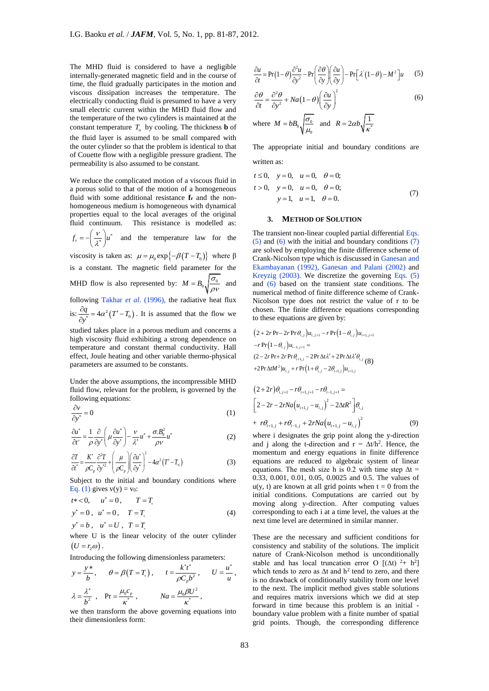The MHD fluid is considered to have a negligible internally-generated magnetic field and in the course of time, the fluid gradually participates in the motion and viscous dissipation increases the temperature. The electrically conducting fluid is presumed to have a very small electric current within the MHD fluid flow and the temperature of the two cylinders is maintained at the constant temperature  $T_o$  by cooling. The thickness **b** of the fluid layer is assumed to be small compared with the outer cylinder so that the problem is identical to that of Couette flow with a negligible pressure gradient. The permeability is also assumed to be constant.

We reduce the complicated motion of a viscous fluid in a porous solid to that of the motion of a homogeneous fluid with some additional resistance **f<sup>r</sup>** and the nonhomogeneous medium is homogeneous with dynamical properties equal to the local averages of the original fluid continuum. This resistance is modelled as:

 $f_r = -\left(\frac{V}{\lambda^*}\right)u^*$  $=-\left(\frac{v}{\lambda^*}\right)u^*$  and the temperature law for the

viscosity is taken as:  $\mu = \mu_0 \exp\{-\beta(T - T_0)\}\$  where  $\beta$ is a constant. The magnetic field parameter for the MHD flow is also represented by:  $M = B_0 \sqrt{\frac{\sigma_0}{m}}$  $= B_0 \sqrt{\frac{\sigma_0}{\rho V}}$  and following Takhar *et al*. (1996), the radiative heat flux is:  $\frac{\partial q}{\partial y^*} = 4\alpha^2 (T' - T_0)$ . It is assumed that the flow we

studied takes place in a porous medium and concerns a high viscosity fluid exhibiting a strong dependence on temperature and constant thermal conductivity. Hall effect, Joule heating and other variable thermo-physical parameters are assumed to be constants.

Under the above assumptions, the incompressible MHD fluid flow, relevant for the problem, is governed by the following equations:

$$
\frac{\partial v}{\partial y^*} = 0\tag{1}
$$

$$
\frac{\partial u^*}{\partial t^{\circ}} = \frac{1}{\rho} \frac{\partial}{\partial y^*} \left( \mu \frac{\partial u^*}{\partial y^*} \right) - \frac{v}{\lambda^*} u^* + \frac{\sigma_s B_0^2}{\rho v} u^* \tag{2}
$$

$$
\frac{\partial T}{\partial t} = \frac{K^*}{\rho C_p} \frac{\partial^2 T}{\partial y^2} + \left(\frac{\mu}{\rho C_p}\right) \left(\frac{\partial u^*}{\partial y^*}\right)^2 - 4\alpha^2 (T' - T_\infty)
$$
\n(3)

Subject to the initial and boundary conditions where Eq. (1) gives  $v(y) = v_0$ :

$$
t^* < 0, \t u^* = 0, \t T = T,
$$
  
\n
$$
y^* = 0, \t u^* = 0, \t T = T,
$$
  
\n
$$
y^* = b, \t u^* = U, \t T = T,
$$
\n(4)

where U is the linear velocity of the outer cylinder  $(U = r_2 \omega)$ .

Introducing the following dimensionless parameters:

$$
y = \frac{y^*}{b}, \qquad \theta = \beta(T = T_s), \qquad t = \frac{k^* t^*}{\rho C_p b^2}, \qquad U = \frac{u^*}{u},
$$
  

$$
\lambda = \frac{\lambda^*}{b^2}, \qquad \text{Pr} = \frac{\mu_0 c_p}{\kappa^*}, \qquad \text{Na} = \frac{\mu_0 \beta U^2}{\kappa^*},
$$

we then transform the above governing equations into their dimensionless form:

$$
\frac{\partial u}{\partial t} = \Pr(1 - \theta) \frac{\partial^2 u}{\partial y^2} - \Pr\left(\frac{\partial \theta}{\partial y}\right) \left(\frac{\partial u}{\partial y}\right) - \Pr\left[\lambda\left(1 - \theta\right) - M^2\right] u \tag{5}
$$

$$
\frac{\partial \theta}{\partial t} = \frac{\partial^2 \theta}{\partial y^2} + Na(1 - \theta) \left(\frac{\partial u}{\partial y}\right)^2 \tag{6}
$$

where 
$$
M = bB_0 \sqrt{\frac{\sigma_0}{\mu_0}}
$$
 and  $R = 2\alpha b \sqrt{\frac{1}{\kappa^*}}$ 

The appropriate initial and boundary conditions are written as:

$$
t \le 0
$$
,  $y = 0$ ,  $u = 0$ ,  $\theta = 0$ ;  
\n $t > 0$ ,  $y = 0$ ,  $u = 0$ ,  $\theta = 0$ ;  
\n $y = 1$ ,  $u = 1$ ,  $\theta = 0$ . (7)

#### **3. METHOD OF SOLUTION**

The transient non-linear coupled partial differential Eqs. (5) and (6) with the initial and boundary conditions (7) are solved by employing the finite difference scheme of Crank-Nicolson type which is discussed in Ganesan and Ekambayanan (1992), Ganesan and Palani (2002) and Kreyzig (2003). We discretize the governing Eqs. (5) and (6) based on the transient state conditions. The numerical method of finite difference scheme of Crank-Nicolson type does not restrict the value of r to be chosen. The finite difference equations corresponding to these equations are given by:

$$
(2+2r\Pr-2r\Pr\theta_{i,j})u_{i,j+1} - r\Pr(1-\theta_{i,j})u_{i+1,j+1} -r\Pr(1-\theta_{i,j})u_{i-1,j+1} = (2-2r\Pr+2r\Pr\theta_{i+1,j} - 2\Pr\Delta t\lambda' + 2\Pr\Delta t\lambda'\theta_{i,j} (8) +2\Pr\Delta t\lambda'\lambda^{2}u_{i,j} + r\Pr(1+\theta_{i,j} - 2\theta_{i+1,j})u_{i+1,j}
$$

$$
(2+2r)\theta_{i,j+1} - r\theta_{i+1,j+1} - r\theta_{i-1,j+1} =
$$
  
\n
$$
\left[2 - 2r - 2rNa(u_{i+1,j} - u_{i,j})^2 - 2\Delta t R^2\right]\theta_{i,j}
$$
  
\n+  $r\theta_{i+1,j} + r\theta_{i-1,j} + 2rNa(u_{i+1,j} - u_{i,j})^2$  (9)

where i designates the grip point along the y-direction and j along the t-direction and  $r = \Delta t / h^2$ . Hence, the momentum and energy equations in finite difference equations are reduced to algebraic system of linear equations. The mesh size h is 0.2 with time step  $\Delta t =$ 0.33, 0.001, 0.01, 0.05, 0.0025 and 0.5. The values of  $u(y, t)$  are known at all grid points when  $t = 0$  from the initial conditions. Computations are carried out by moving along y-direction. After computing values corresponding to each i at a time level, the values at the next time level are determined in similar manner.

These are the necessary and sufficient conditions for consistency and stability of the solutions. The implicit nature of Crank-Nicolson method is unconditionally stable and has local truncation error O  $[(\Delta t)$ <sup>2</sup>+ h<sup>2</sup>] which tends to zero as  $\Delta t$  and  $h^2$  tend to zero, and there is no drawback of conditionally stability from one level to the next. The implicit method gives stable solutions and requires matrix inversions which we did at step forward in time because this problem is an initial boundary value problem with a finite number of spatial grid points. Though, the corresponding difference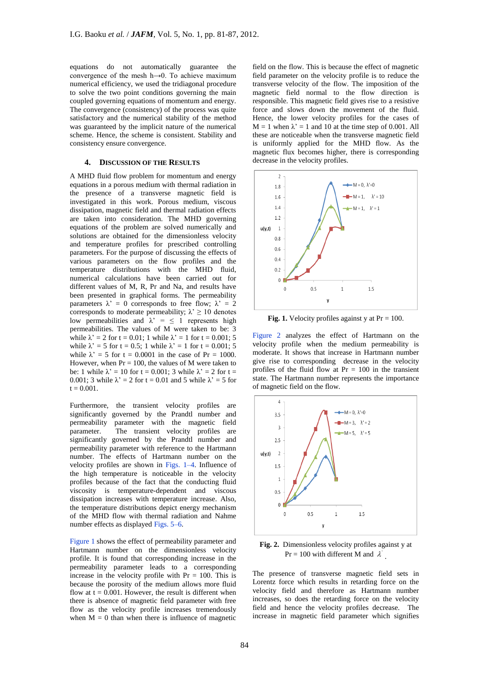equations do not automatically guarantee the convergence of the mesh h→0. To achieve maximum numerical efficiency, we used the tridiagonal procedure to solve the two point conditions governing the main coupled governing equations of momentum and energy. The convergence (consistency) of the process was quite satisfactory and the numerical stability of the method was guaranteed by the implicit nature of the numerical scheme. Hence, the scheme is consistent. Stability and consistency ensure convergence.

## **4. DISCUSSION OF THE RESULTS**

A MHD fluid flow problem for momentum and energy equations in a porous medium with thermal radiation in the presence of a transverse magnetic field is investigated in this work. Porous medium, viscous dissipation, magnetic field and thermal radiation effects are taken into consideration. The MHD governing equations of the problem are solved numerically and solutions are obtained for the dimensionless velocity and temperature profiles for prescribed controlling parameters. For the purpose of discussing the effects of various parameters on the flow profiles and the temperature distributions with the MHD fluid, numerical calculations have been carried out for different values of M, R, Pr and Na, and results have been presented in graphical forms. The permeability parameters  $\lambda' = 0$  corresponds to free flow;  $\lambda' = 2$ corresponds to moderate permeability;  $\lambda \ge 10$  denotes low permeabilities and  $\lambda' = \langle 1 \rangle$  represents high permeabilities. The values of M were taken to be: 3 while  $\lambda' = 2$  for t = 0.01; 1 while  $\lambda' = 1$  for t = 0.001; 5 while  $\lambda' = 5$  for t = 0.5; 1 while  $\lambda' = 1$  for t = 0.001; 5 while  $\lambda' = 5$  for t = 0.0001 in the case of Pr = 1000. However, when  $Pr = 100$ , the values of M were taken to be: 1 while  $\lambda' = 10$  for  $t = 0.001$ ; 3 while  $\lambda' = 2$  for  $t =$ 0.001; 3 while  $\lambda' = 2$  for t = 0.01 and 5 while  $\lambda' = 5$  for  $t = 0.001$ .

Furthermore, the transient velocity profiles are significantly governed by the Prandtl number and permeability parameter with the magnetic field parameter. The transient velocity profiles are significantly governed by the Prandtl number and permeability parameter with reference to the Hartmann number. The effects of Hartmann number on the velocity profiles are shown in Figs. 1–4. Influence of the high temperature is noticeable in the velocity profiles because of the fact that the conducting fluid viscosity is temperature-dependent and viscous dissipation increases with temperature increase. Also, the temperature distributions depict energy mechanism of the MHD flow with thermal radiation and Nahme number effects as displayed Figs. 5–6.

Figure 1 shows the effect of permeability parameter and Hartmann number on the dimensionless velocity profile. It is found that corresponding increase in the permeability parameter leads to a corresponding increase in the velocity profile with  $Pr = 100$ . This is because the porosity of the medium allows more fluid flow at  $t = 0.001$ . However, the result is different when there is absence of magnetic field parameter with free flow as the velocity profile increases tremendously when  $M = 0$  than when there is influence of magnetic

field on the flow. This is because the effect of magnetic field parameter on the velocity profile is to reduce the transverse velocity of the flow. The imposition of the magnetic field normal to the flow direction is responsible. This magnetic field gives rise to a resistive force and slows down the movement of the fluid. Hence, the lower velocity profiles for the cases of  $M = 1$  when  $\lambda' = 1$  and 10 at the time step of 0.001. All these are noticeable when the transverse magnetic field is uniformly applied for the MHD flow. As the magnetic flux becomes higher, there is corresponding decrease in the velocity profiles.



**Fig. 1.** Velocity profiles against y at  $Pr = 100$ .

Figure 2 analyzes the effect of Hartmann on the velocity profile when the medium permeability is moderate. It shows that increase in Hartmann number give rise to corresponding decrease in the velocity profiles of the fluid flow at  $Pr = 100$  in the transient state. The Hartmann number represents the importance of magnetic field on the flow.



**Fig. 2.** Dimensionless velocity profiles against y at Pr = 100 with different M and  $\lambda$ .

The presence of transverse magnetic field sets in Lorentz force which results in retarding force on the velocity field and therefore as Hartmann number increases, so does the retarding force on the velocity field and hence the velocity profiles decrease. The increase in magnetic field parameter which signifies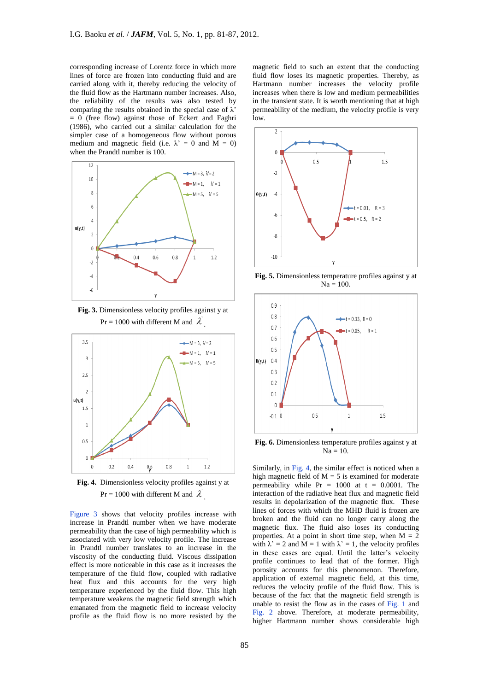corresponding increase of Lorentz force in which more lines of force are frozen into conducting fluid and are carried along with it, thereby reducing the velocity of the fluid flow as the Hartmann number increases. Also, the reliability of the results was also tested by comparing the results obtained in the special case of  $\lambda$ '  $= 0$  (free flow) against those of Eckert and Faghri (1986), who carried out a similar calculation for the simpler case of a homogeneous flow without porous medium and magnetic field (i.e.  $\lambda' = 0$  and  $\overline{M} = 0$ ) when the Prandtl number is 100.



**Fig. 3.** Dimensionless velocity profiles against y at Pr = 1000 with different M and  $\lambda^{'}$ .



**Fig. 4.** Dimensionless velocity profiles against y at Pr = 1000 with different M and  $\lambda$ .

Figure 3 shows that velocity profiles increase with increase in Prandtl number when we have moderate permeability than the case of high permeability which is associated with very low velocity profile. The increase in Prandtl number translates to an increase in the viscosity of the conducting fluid. Viscous dissipation effect is more noticeable in this case as it increases the temperature of the fluid flow, coupled with radiative heat flux and this accounts for the very high temperature experienced by the fluid flow. This high temperature weakens the magnetic field strength which emanated from the magnetic field to increase velocity profile as the fluid flow is no more resisted by the

magnetic field to such an extent that the conducting fluid flow loses its magnetic properties. Thereby, as Hartmann number increases the velocity profile increases when there is low and medium permeabilities in the transient state. It is worth mentioning that at high permeability of the medium, the velocity profile is very low.



**Fig. 5.** Dimensionless temperature profiles against y at  $Na = 100$ .



**Fig. 6.** Dimensionless temperature profiles against y at  $Na = 10$ .

Similarly, in Fig. 4, the similar effect is noticed when a high magnetic field of  $M = 5$  is examined for moderate permeability while  $Pr = 1000$  at  $t = 0.0001$ . The interaction of the radiative heat flux and magnetic field results in depolarization of the magnetic flux. These lines of forces with which the MHD fluid is frozen are broken and the fluid can no longer carry along the magnetic flux. The fluid also loses its conducting properties. At a point in short time step, when  $M = 2$ with  $\lambda' = 2$  and  $\tilde{M} = 1$  with  $\lambda' = 1$ , the velocity profiles in these cases are equal. Until the latter's velocity profile continues to lead that of the former. High porosity accounts for this phenomenon. Therefore, application of external magnetic field, at this time, reduces the velocity profile of the fluid flow. This is because of the fact that the magnetic field strength is unable to resist the flow as in the cases of Fig. 1 and Fig. 2 above. Therefore, at moderate permeability, higher Hartmann number shows considerable high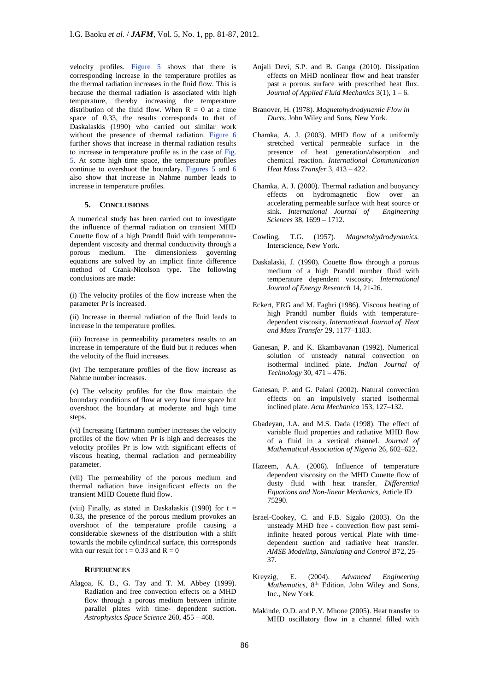velocity profiles. Figure 5 shows that there is corresponding increase in the temperature profiles as the thermal radiation increases in the fluid flow. This is because the thermal radiation is associated with high temperature, thereby increasing the temperature distribution of the fluid flow. When  $R = 0$  at a time space of 0.33, the results corresponds to that of Daskalaskis (1990) who carried out similar work without the presence of thermal radiation. Figure 6 further shows that increase in thermal radiation results to increase in temperature profile as in the case of Fig. 5. At some high time space, the temperature profiles continue to overshoot the boundary. Figures 5 and 6 also show that increase in Nahme number leads to increase in temperature profiles.

# **5. CONCLUSIONS**

A numerical study has been carried out to investigate the influence of thermal radiation on transient MHD Couette flow of a high Prandtl fluid with temperaturedependent viscosity and thermal conductivity through a porous medium. The dimensionless governing equations are solved by an implicit finite difference method of Crank-Nicolson type. The following conclusions are made:

(i) The velocity profiles of the flow increase when the parameter Pr is increased.

(ii) Increase in thermal radiation of the fluid leads to increase in the temperature profiles.

(iii) Increase in permeability parameters results to an increase in temperature of the fluid but it reduces when the velocity of the fluid increases.

(iv) The temperature profiles of the flow increase as Nahme number increases.

(v) The velocity profiles for the flow maintain the boundary conditions of flow at very low time space but overshoot the boundary at moderate and high time steps.

(vi) Increasing Hartmann number increases the velocity profiles of the flow when Pr is high and decreases the velocity profiles Pr is low with significant effects of viscous heating, thermal radiation and permeability parameter.

(vii) The permeability of the porous medium and thermal radiation have insignificant effects on the transient MHD Couette fluid flow.

(viii) Finally, as stated in Daskalaskis (1990) for  $t =$ 0.33, the presence of the porous medium provokes an overshoot of the temperature profile causing a considerable skewness of the distribution with a shift towards the mobile cylindrical surface, this corresponds with our result for  $t = 0.33$  and  $R = 0$ 

## **REFERENCES**

Alagoa, K. D., G. Tay and T. M. Abbey (1999). Radiation and free convection effects on a MHD flow through a porous medium between infinite parallel plates with time- dependent suction. *Astrophysics Space Science* 260, 455 – 468.

- Anjali Devi, S.P. and B. Ganga (2010). Dissipation effects on MHD nonlinear flow and heat transfer past a porous surface with prescribed heat flux. *Journal of Applied Fluid Mechanics* 3(1), 1 – 6.
- Branover, H. (1978). *Magnetohydrodynamic Flow in Ducts*. John Wiley and Sons, New York.
- Chamka, A. J. (2003). MHD flow of a uniformly stretched vertical permeable surface in the presence of heat generation/absorption and chemical reaction. *International Communication Heat Mass Transfer* 3, 413 – 422.
- Chamka, A. J. (2000). Thermal radiation and buoyancy effects on hydromagnetic flow over an accelerating permeable surface with heat source or sink. *International Journal of Engineering Sciences* 38, 1699 – 1712.
- Cowling, T.G. (1957). *Magnetohydrodynamics.* Interscience, New York.
- Daskalaski, J. (1990). Couette flow through a porous medium of a high Prandtl number fluid with temperature dependent viscosity. *International Journal of Energy Research* 14, 21-26.
- Eckert, ERG and M. Faghri (1986). Viscous heating of high Prandtl number fluids with temperaturedependent viscosity. *International Journal of Heat and Mass Transfer* 29, 1177–1183.
- Ganesan, P. and K. Ekambavanan (1992). Numerical solution of unsteady natural convection on isothermal inclined plate. *Indian Journal of Technology* 30, 471 – 476.
- Ganesan, P. and G. Palani (2002). Natural convection effects on an impulsively started isothermal inclined plate. *Acta Mechanica* 153, 127–132.
- Gbadeyan, J.A. and M.S. Dada (1998). The effect of variable fluid properties and radiative MHD flow of a fluid in a vertical channel. *Journal of Mathematical Association of Nigeria* 26, 602–622.
- Hazeem, A.A. (2006). Influence of temperature dependent viscosity on the MHD Couette flow of dusty fluid with heat transfer. *Differential Equations and Non-linear Mechanics*, Article ID 75290.
- Israel-Cookey, C. and F.B. Sigalo (2003). On the unsteady MHD free - convection flow past semiinfinite heated porous vertical Plate with timedependent suction and radiative heat transfer. *AMSE Modeling, Simulating and Control* B72, 25– 37.
- Kreyzig, E. (2004). *Advanced Engineering Mathematics*, 8th Edition, John Wiley and Sons, Inc., New York.
- Makinde, O.D. and P.Y. Mhone (2005). Heat transfer to MHD oscillatory flow in a channel filled with